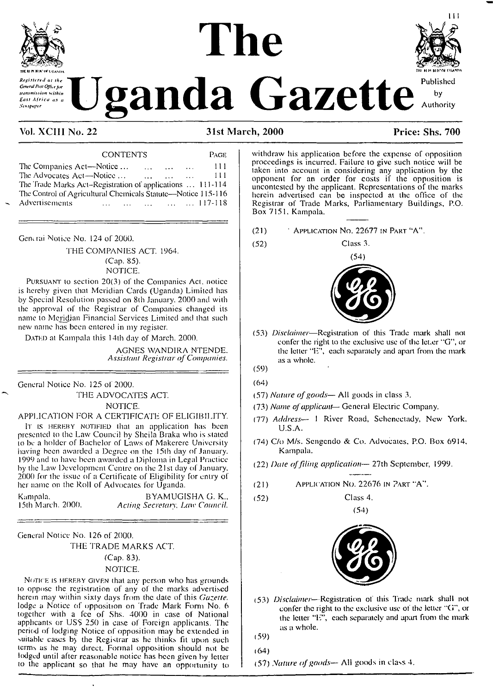

Revisiered of the General Post Office for transmission within East Africa as a **Senspaper** 

# anda Gazette



# Vol. XCIII No. 22

31st March, 2000

# Price: Shs. 700

| <b>CONTENTS</b>                                                                                                                                  | Page. |
|--------------------------------------------------------------------------------------------------------------------------------------------------|-------|
| The Companies Act-Notice<br>and the same state of the state of the state of the state of the state of the state of the state of the state of the | -111  |
| The Advocates Act-Notice<br>$\mathbf{r}$ and $\mathbf{r}$ are all $\mathbf{r}$                                                                   | -111  |
| The Trade Marks Act-Registration of applications  111-114                                                                                        |       |
| The Control of Agricultural Chemicals Statute—Notice 115-116                                                                                     |       |
| Advertisements                                                                                                                                   |       |

General Notice No. 124 of 2000.

THE COMPANIES ACT. 1964. (Cap. 85). NOTICE.

PURSUANT to section 20(3) of the Companies Act, notice is hereby given that Meridian Cards (Uganda) Limited has by Special Resolution passed on 8th January, 2000 and with the approval of the Registrar of Companies changed its name to Meridian Financial Services Limited and that such new name has been entered in my register.

DATED at Kampala this 14th day of March, 2000.

AGNES WANDIRA NTENDE. Assistant Registrar of Companies.

General Notice No. 125 of 2000.

THE ADVOCATES ACT.

#### NOTICE.

#### APPLICATION FOR A CERTIFICATE OF ELIGIBILITY.

IT IS HEREBY NOTIFIED that an application has been<br>presented to the Law Council by Sheila Braka who is stated<br>to be a holder of Bachelor of Laws of Makerere University having been awarded a Degree on the 15th day of January. 1999 and to have been awarded a Diploma in Legal Practice by the Law Development Centre on the 21st day of January, 2000 for the issue of a Certificate of Eligibility for entry of her name on the Roll of Advocates for Uganda.

Kampala, 15th March. 2000.

BYAMUGISHA G. K., Acting Secretary, Law Council.

General Notice No. 126 of 2000.

THE TRADE MARKS ACT.

#### (Cap. 83).

#### NOTICE.

NOTICE IS HEREBY GIVEN that any person who has grounds to oppose the registration of any of the marks advertised herein may within sixty days from the date of this Gazette. lodge a Notice of opposition on Trade Mark Form No. 6 together with a fee of Shs. 4000 in case of National<br>applicants or US\$ 250 in case of Foreign applicants. The period of lodging Notice of opposition may be extended in suitable cases by the Registrar as he thinks fit upon such terms as he may direct. Formal opposition should not be lodged until after reasonable notice has been given by letter to the applicant so that he may have an opportunity to withdraw his application before the expense of opposition proceedings is incurred. Failure to give such notice will be taken into account in considering any application by the opponent for an order for costs if the opposition is uncontested by the applicant. Representations of the marks herein advertised can be inspected at the office of the Registrar of Trade Marks, Parliamentary Buildings, P.O. Box 7151, Kampala.

Class 3.

- $(21)$ <sup>\*</sup> Application No. 22677 in Part "A".
	-



(53) Disclaimer-Registration of this Trade mark shall not confer the right to the exclusive use of the letter "G", or the letter "E", each separately and apart from the mark as a whole.

 $(52)$ 

- $(64)$
- (57) Nature of goods— All goods in class 3.
- (73) Name of applicant-General Electric Company.
- (77) Address- 1 River Road, Schenectady, New York. **IISA**
- (74) C/o M/s. Sengendo & Co. Advocates, P.O. Box 6914, Kampala.
- (22) Date of filing application-27th September, 1999.
- APPLICATION NO. 22676 IN PART "A".  $(21)$
- $(52)$ Class 4.



 $(54)$ 

(53) Disclaimer-Registration of this Trade mark shall not confer the right to the exclusive use of the letter "G", or the letter "E", each separately and apart from the mark as a whole.

- $(64)$
- (57) Nature of goods— All goods in class 4.

 $(59)$ 

 $(59)$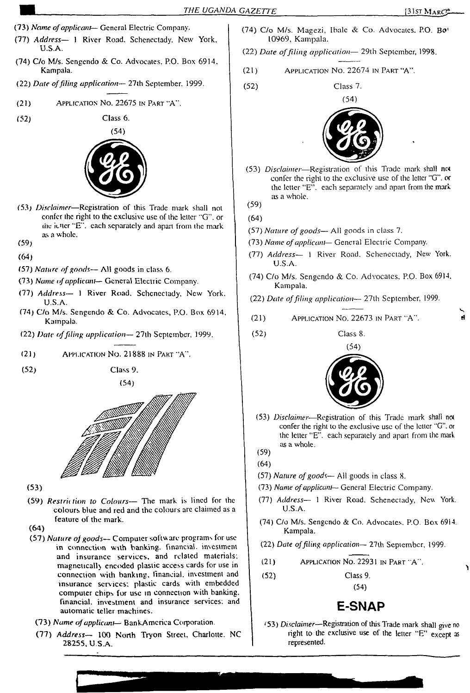- (73) *Name ofapplicant—* General Electric Company.
- (77) *Address—* <sup>1</sup> River Road. Schenectady. New York, U.S.A.
- (74) C/o M/s. Scngendo & Co. Advocates, P.O. Box 6914. Kampala.
- (22) *Date* of filing *application*  $\leftarrow$  27th September. 1999. (52) Class 7.
- (21) Application No. 22675 in Part "A".
- (52)



Class 6.

- (53) *Disclaimer*—Registration of this Trade mark shall not confer the right to the exclusive use of the letter "G", or the ictter "E", each separately and apart from the mark as a whole.
- (59)
- **(64)**
- (57) *Nature ofgoods—* AH goods in class 6.
- (73) *Name ofapplicant—* General Electric Company.
- (77) *Address—* <sup>1</sup> River Road. Schenectady, New York. U.S.A.
- (74) C/o M/s. Sengendo & Co. Advocates, P.O. Box 6914, Kampala.
- (22) *Date offding application—* 27th September, 1999. (52) Class 8.
- (21) Application No. 21888 in Part 'A'\*.
- (52) Class 9.

(54)



- **(53)**
- (59) *Restrii tion to Colours—* The mark is lined for the colours blue and red and the colours arc claimed as a feature of the mark.

**(64)**

- (57) *Nature of goods* Computer software programs for use in connection with banking, financial, investment and insurance services, and related materials, magnetically encoded plastic access cards for use in connection with banking, financial, investment and insurance services; plastic cards with embedded computer chips for use in connection with banking, financial, investment and insurance services; and automatic teller machines.
	- (73) *Name ofapplicant—* BankAmcrica Corporation.
	- (77) *Address—* 100 North Tryon Street, Charlotte. NC 28255, U.S.A.
- (74) C/o M/s. Magezi, Ibalc & Co. Advocates. P.O. Bo' 10969, Kampala.
- (22) *Date offiling application—* 29th September, 1998.
- (21) Application No. 22674 in Part "A".
	-



- (53) *Disclaimer*—Registration of this Trade mark shall noi confer the right to the exclusive use of the letter "G". or the letter "E". each separately and apan from the mark as a whole.
- (59)

(64)

- (57) *Nature ofgoods—* All goods in class 7.
- (73) *Name ofapplicant—* General Electric Company.
- (77) *Address—* <sup>1</sup> River Road. Schenectady, New York. U.S.A.
- (74) C/o M/s. Sengendo & Co. Advocates, P.O. Box 6914, Kampala.
- (22) *Date offiling application—* 27th September, 1999.
- (21) Application No. 22673 in Part 'A".
	-



- (53) *Disclaimer—*Registration of this Trade mark shall not confer the right to the exclusive use of the letter "G". or the letter "E". each separately and apart from the mark as a whole.
- (59)
- (64)
- (57) *Nature ofgoods—* All goods in class 8.
- (73) *Name ofapplicant—* General Electric Company.
- (77) *Address—* <sup>1</sup> River Road. Schenectady, Nev. York. U.S.A.
- (74) C/o M/s. Sengendo & Co. Advocates. P.O. Box 6914. Kampala.
- (22) *Date offiling application—* 27th September, 1999.
- (21) Application <sup>N</sup>o. <sup>22931</sup> in <sup>P</sup>art 'A'.
- (52) Class 9.

(54)

# E-SNAP

'53) *Disclaimer*—Registration of this Trade mark shall give no right to the exclusive use of the letter "E" except as represented.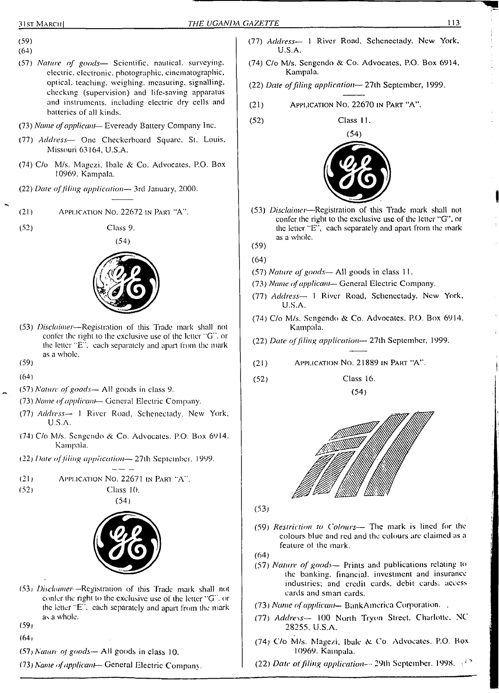- (59)
- (64)
- (57) *Nature of goods—* Scientific, nautical, surveying, electric, electronic, photographic, cinematographic, optical, leaching, weighing, measuring, signalling, checking (supervision) and life-saving apparatus and instruments, including electric dry cells and batteries of all kinds.
- (73) *Name ofapplicant—* Evcready Battery Company Inc.
- (77) *Address—* One Checkerboard Square, St. Louis, Missouri 63164, U.S.A.
- (74) C/o M/s. Magezi, Ibalc & Co. Advocates, P.O. Box 10969. Kampala.
- (22) *Date offiling application—* 3rd January, 2000.
- (21) Application No. 22672 in Part "A".
- (52) Class 9.



- (53) *Disclaimer*—Registration of this Trade mark shall not confer the right to the exclusive use of the letter "G". or the letter "E". each separately and apart from the mark as a whole.
- (59)
- (64)
- (57) *Nature ofgoods—* All goods in class 9.
- (73) *Name ofapplicant* General Electric Company.
- (77) *Address—* <sup>1</sup> River Road, Schenectady. New York, U.S.A.
- (74) C/o M/s. Sengendo & Co. Advocates. P.O. Box 6914. Kampala.
- (22) *Date offiling application—* 27th September. 1999.
- $(21)$ Application No. 22671 in Part "A".
- $(52)$



Class 10.

- (53) *Disclaimer —*Registration of this Trade mark shall not confer the right to the exclusive use of the letter "G", or the letter "E", each separately and apart from the mark as a whole.
- $(59)$
- (64)
- (57) *Nanin of goods—* All goods in class 10.
- (73) *Name <fapplicant—* General Electric Company
- (77) *Address—* <sup>1</sup> River Road, Schenectady, New York, U.S.A.
- (74) C/o M/s. Sengendo & Co. Advocates, P.O. Box 6914, Kampala.
- (22) *Date offiling application* 27th September, 1999.
- (21) Application No. 22670 in Part "A".

(52) Class 11.



- (53) *Disclaimer*—Registration of this Trade mark shall not confer the right to the exclusive use of the letter "G", or the letter "E", each separately and apart from the mark as a whole.
- (59)
- (64)
- (57) *Nature ofgoods—* All goods in class <sup>1</sup> 1.
- (73) *Name ofapplicant* General Electric Company.
- (77) *Address—* <sup>1</sup> River Road, Schenectady, New York, U.S.A.
- (74) C/o M/s. Sengendo & Co. Advocates. P.O. Box 6914. Kampala.
- (22) *Date offiling application—* 27th September, 1999.
- (21) Application No. 21889 in Part "A".
- (52) Class 16. (54)



(53)

- (59) *Restriction to Colours—* The mark is lined for the colours blue and red and the colours arc claimed as a feature of the mark.
- (64)
- (57) *Nature of goods—* Prints and publications relating to the banking, financial, investment and insurance industries; and credit cards, debit cards, access cards and smart cards.
- (73) *Name ofapplicant—* BankAinerica Corporation. .
- (77) *Address—* 100 North Trvon Street. Charlotte. NC 28255, U.S.A.
- (74) C/o M/s. Magezi, Ibale & Co. Advocates. P.O. Box 10969. Kampala.
- (22) *Date offding application-* 29th September. 1998. :;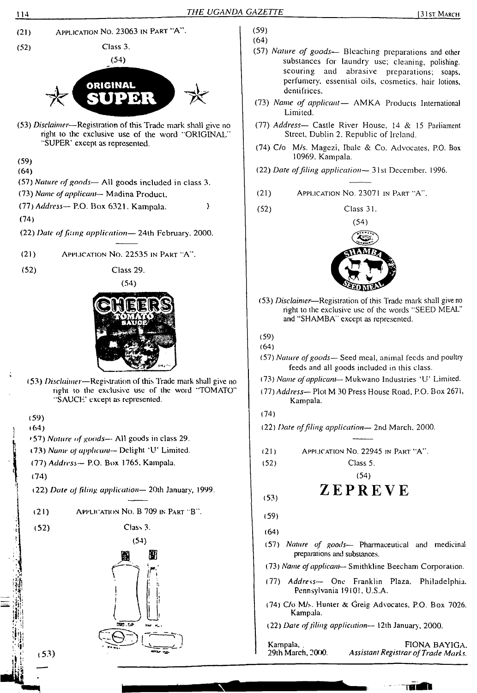

- (57) *Nature of goods—* Bleaching preparations and other substances for laundry use; cleaning, polishing. scouring and abrasive preparations; soaps, perfumery, essential oils, cosmetics, hair lotions, dentifrices.
- (73) *Name of applicant—* AMKA Products International Limited.
- (77) *Address—* Castle River House, 14 & 15 Parliament Street, Dublin 2. Republic of Ireland.
- (74) C/o M/s. Magczi, Ibalc & Co. Advocates, P.O. Box 10969. Kampala.
- (22) *Dare offiling application—* 31st December. 1996.
- (21) Application No. 23071 in Part "A".
- Class 31.



- (53) *Disclaimer*—Registration of this Trade mark shall give no right to the exclusive use of the words "SEED MEAL" and "SHAMBA" except as represented.
- (57) *Nature ofgoods—* Seed meal, animal feeds and poultry feeds and all goods included in this class.
- (73) *Name ofapplicant—* Mukwano Industries 'U' Limited.
- *UH) Address—* Plot M 30 Press House Road, P.O. Box 2671, Kampala.
- (22) *Date offling application—* 2nd March. 2000.
- Application No. 22945 in Part "A".
	-

Class 5. (54)

# ZEPREVE

- (57) *Nature of goods—* Pharmaceutical and medicinal preparations and substances.
- (73) *Name ofapplicant—* Smithkline Beecham Corporation.
- (77) *Address—* One Franklin Plaza. Philadelphia. Pennsylvania 19101. U.S.A.
- (74) C/o M/s. Hunter & Greig Advocates, P.O. Box 7026. Kampala.
- (22) *Date offling application—* 12th January, 2000.

Kampala, . 29th March, 2000.

FIONA BAYIGA. *Assistant Registrar ofTrade Marks.*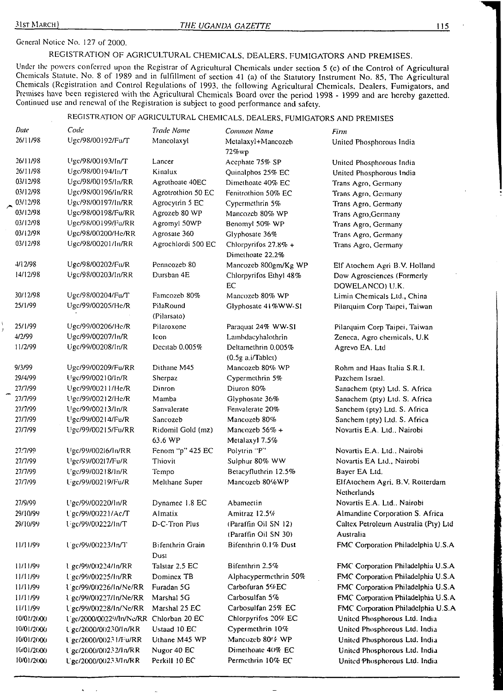## General Notice No. 127 of 2000.

REGISTRATION OF AGRICULTURAL CHEMICALS, DEALERS, FUMIGATORS AND PREMISES.

Under the powers conferred upon the Registrar of Agricultural Chemicals under section 5 (c) of the Control of Agricultural Chemicals Statute, No. 8 of 1989 and in fulfillment of section 41 (a) of the Statutory Instrument No. 85, The Agricultural Chemicals (Registration and Control Regulations of 1993, the following Agricultural Chemicals. Dealers, Fumigaiors, and Premises have been registered with the Agricultural Chemicals Board over the period 1998 - 1999 and arc hereby gazetted. Continued use and renewal of the Registration is subject to good performance and safety.

## REGISTRATION OF AGRICULTURAL CHEMICALS. DEALERS, FUMIGATORS AND PREMISES

| Date       | Code                                   | Trade Name                   | Common Name                                  | Firm                                              |
|------------|----------------------------------------|------------------------------|----------------------------------------------|---------------------------------------------------|
| 26/11/98   | Ugc/98/00192/Fu/T                      | Mancolaxyl                   | Metalaxyl+Mancozeb<br>72%wp                  | United Phosphorous India                          |
| 26/11/98   | Ugc/98/00193/In/T                      | Lancer                       | Acephate 75% SP                              | United Phosphorous India                          |
| 26/11/98   | Ugc/98/00194/In/T                      | Kinalux                      | Quinalphos 25% EC                            | United Phosphorous India                          |
| 03/12/98   | Ugc/98/00195/In/RR                     | Agrothoate 40EC              | Dimethoate 40% EC                            | Trans Agro, Germany                               |
| 03/12/98   | Ugc/98/00196/In/RR                     | Agrotrothion 50 EC           | Fenitrothion 50% EC                          | Trans Agro, Germany                               |
| 03/12/98   | Ugc/98/00197/In/RR                     | Agrocytrin 5 EC              | Cypermethrin 5%                              | Trans Agro, Germany                               |
| 03/12/98   | Ugc/98/00198/Fu/RR                     | Agrozeb 80 WP                | Mancozeb 80% WP                              | Trans Agro, Germany                               |
| 03/12/98   | Ugc/98/00199/Fu/RR                     | Agromyl 50WP                 | Benomyl 50% WP                               | Trans Agro, Germany                               |
| 03/12/98   | Ugc/98/00200/He/RR                     | Agrosate 360                 | Glyphosate 36%                               | Trans Agro, Germany                               |
| 03/12/98   | Ugc/98/00201/In/RR                     | Agrochlordi 500 EC           | Chlorpyrifos 27.8% +<br>Dimethoate 22.2%     | Trans Agro, Germany                               |
| 4/12/98    | Ugc/98/00202/Fu/R                      | Penncozeb 80                 | Mancozeb 800gm/Kg WP                         | Elf Atochem Agri B.V. Holland                     |
| 14/12/98   | Ugc/98/00203/In/RR                     | Dursban 4E                   | Chlorpyrifos Ethyl 48%<br>EC                 | Dow Agrosciences (Formerly<br>DOWELANCO) U.K.     |
| 30/12/98   | Ugc/98/00204/Fu/T                      | Famcozeb 80%                 | Mancozeb 80% WP                              | Limin Chemicals Ltd., China                       |
| 25/1/99    | Ugc/99/00205/He/R                      | PilaRound<br>(Pilarsato)     | Glyphosate 41%WW-SI                          | Pilarquim Corp Taipei, Taiwan                     |
| 25/1/99    | Ugc/99/00206/Hc/R                      | Pilaroxone                   | Paraquat 24% WW-SI                           | Pilarquim Corp Taipei, Taiwan                     |
| 4/2/99     | Ugc/99/00207/1n/R                      | Icon                         | Lambdacyhalothrin                            | Zeneca, Agro chemicals, U.K.                      |
| 11/2/99    | Ugc/99/00208/In/R                      | Decitab 0.005%               | Deltamethrin 0.005%<br>(0.5g a.i/Tablct)     | Agrevo EA. Ltd                                    |
| 9/3/99     | Ugc/99/00209/Fu/RR                     | Dithane M45                  | Mancozeb 80% WP                              | Rohm and Haas Italia S.R.I.                       |
| 29/4/99    | Ugc/99/00210/in/R                      | Sherpaz                      | Cypermethrin 5%                              | Pazchem Israel.                                   |
| 27/7/99    | Ugc/99/00211/He/R                      | Dinron                       | Diuron 80%                                   | Sanachem (pty) Ltd. S. Africa                     |
| 27/7/99    | Ugc/99/00212/He/R                      | Mamba                        | Glyphosate 36%                               | Sanachem (pty) Ltd. S. Africa                     |
| 27/7/99    | Ugc/99/00213/In/R                      | Sanvalerate                  | Fenvalerate 20%                              | Sanchem (pty) Ltd. S. Africa                      |
| 27/7/99    | Ugc/99/00214/Fu/R                      | Sancozeb                     | Mancozeb 80%                                 | Sanchem (pty) Ltd. S. Africa                      |
| 27/7/99    | Ugc/99/00215/Fu/RR                     | Ridomil Gold (mz)<br>63.6 WP | Mancozeb 56% +<br>Metalaxyl 7.5%             | Novartis E.A. Ltd., Nairobi                       |
| 27.7/99    | Ugc/99/00216/In/RR                     | Fenom "p" 425 EC             | Polytrin "P"                                 | Novartis E.A. Ltd., Nairobi                       |
| 27/7/99    | Ugc/99/00217/Fu/R                      | Thiovit                      | Sulphur 80% WW                               | Novartis EA Ltd., Nairobi                         |
| 27/7/99    | Ugc/99/00218/In/R                      | Tempo                        | Betacyfluthrin 12.5%                         | Bayer EA Ltd.                                     |
| 27/7/99    | Ugc/99/00219/Fu/R                      | Melthane Super               | Mancozeb 80%WP                               | ElfAtochem Agri. B.V. Rotterdam<br>Netherlands    |
| 27/9/99    | Ugc/99/00220/1n/R                      | Dynamec 1.8 EC               | Abamectin                                    | Novartis E.A. Ltd., Nairobi                       |
| 29/10/99   | Ugc/99/00221/Ac/T                      | Almatix                      | Amitraz 12.5%                                | Almandine Corporation S. Africa                   |
| 29/10/99   | Ugc/99/00222/In/T                      | D-C-Tron Plus                | (Paraffin Oil SN 12)<br>(Paraffin Oil SN 30) | Caltex Petroleum Australia (Pty) Ltd<br>Australia |
| 11/11/99   | l'gc/99/00223/In/T                     | Bifenthrin Grain<br>Dust     | Bifenthrin 0.1% Dust                         | FMC Corporation Philadelphia U.S.A                |
| 11/11/99   | l gc/99/00224/In/RR                    | Talstar 2.5 EC               | Bifenthrin 2.5%                              | FMC Corporation Philadelphia U.S.A                |
| 11/11/99   | Ugc/99/00225/In/RR                     | Dominex TB                   | Alphacypermethrin 50%                        | FMC Corporation Philadelphia U.S.A                |
| 11/11/99   | Ugc/99/00226/In/Ne/RR                  | Furadan 5G                   | Carbofuran 5%EC                              | FMC Corporation Philadelphia U.S.A                |
| 11/11/99   | l'gc/99/00227/1n/Ne/RR                 | Marshal 5G                   | Carbosulfan 5%                               | FMC Corporation Philadelphia U.S.A                |
| 11/11/99   | Ugc/99/00228/In/Ne/RR                  | Marshal 25 EC                | Carbosulfan 25% EC                           | FMC Corporation Philadelphia U.S.A                |
| 10/01/2000 | Ugc/2000/00229/ln/Ne/RR Chlorban 20 EC |                              | Chlorpyrifos 20% EC                          | United Phosphorous Ltd. India                     |
| 10/01/2000 | Ugc/2000/00230/In/RR                   | Ustaad 10 EC                 | Cypermethrin 10%                             | United Phosphorous Ltd. India                     |
| 10/01/2000 | Ugc/2000/00231/Fu/RR                   | Uthane M45 WP                | Mancozeb 80% WP                              | United Phosphorous Ltd. India                     |
| 10/01/2000 | Ugc/2000/00232/In/RR                   | Nugor 40 EC                  | Dimethoate 40% EC                            | United Phosphorous Ltd. India                     |
| 10/01/2000 | L'gc/2000/00233/In/RR                  | Perkill 10 EC                | Permethrin 10% EC                            | United Phosphorous Ltd. India                     |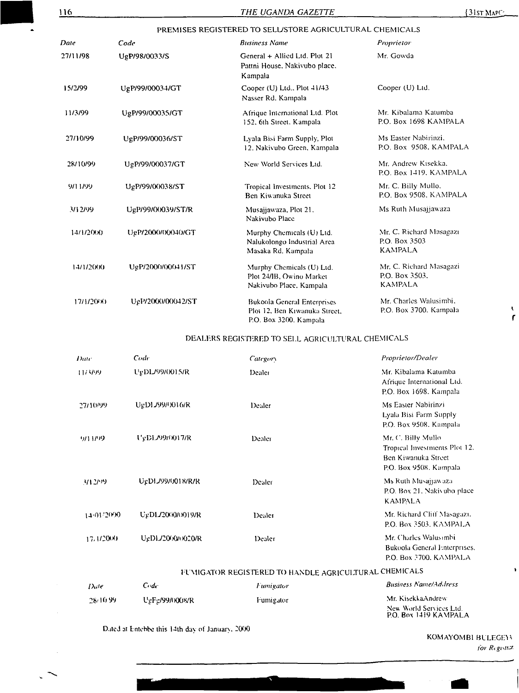| 116       |                   | THE UGANDA GAZETTE                                                                            | $\{31$ st Map $\subseteq$                                   |
|-----------|-------------------|-----------------------------------------------------------------------------------------------|-------------------------------------------------------------|
|           |                   | PREMISES REGISTERED TO SELUSTORE AGRICULTURAL CHEMICALS                                       |                                                             |
| Date      | Code              | <b>Business Name</b>                                                                          | Proprietor                                                  |
| 27/11/98  | UgP/98/0033/S     | General + Allied Ltd. Plot 21<br>Pattni House, Nakivubo place,<br>Kampala                     | Mr. Gowda                                                   |
| 15/2/99   | UgP/99/00034/GT   | Cooper (U) Ltd., Plot 41/43<br>Nasser Rd. Kampala                                             | Cooper (U) Ltd.                                             |
| 11/3/99   | UgP/99/00035/GT   | Afrique International Ltd. Plot<br>152, 6th Street. Kampala                                   | Mr. Kibalama Katumba<br>P.O. Box 1698 KAMPALA               |
| 27/10/99  | UgP/99/00036/ST   | Lyala Bisi Farm Supply, Plot<br>12. Nakivubo Green, Kampala                                   | Ms Easter Nabirinzi.<br>P.O. Box 9508, KAMPALA              |
| 28/10/99  | UgP/99/00037/GT   | New World Services Ltd.                                                                       | Mr. Andrew Kisekka,<br>P.O. Box 1419, KAMPALA               |
| 9/11/99   | UgP/99/00038/ST   | Tropical Investments, Plot 12<br>Ben Kiwanuka Street                                          | Mr. C. Billy Mullo.<br>P.O. Box 9508, KAMPALA               |
| 3/12/99   | UgP/99/00039/ST/R | Musajjawaza, Plot 21.<br>Nakivubo Place                                                       | Ms Ruth Musajjawaza                                         |
| 14/1/2000 | UgP/2000/00040/GT | Murphy Chemicals (U) Ltd.<br>Nalukolongo Industrial Area<br>Masaka Rd. Kampala                | Mr. C. Richard Masagazi<br>P.O. Box 3503<br><b>KAMPALA</b>  |
| 14/1/2000 | UgP/2000/00041/ST | Murphy Chemicals (U) Ltd.<br>Plot 24/IB, Owino Market<br>Nakivubo Place, Kampala              | Mr. C. Richard Masagazi<br>P.O. Box 3503.<br><b>KAMPALA</b> |
| 17/1/2000 | UgP/2000/00042/ST | <b>Bukoola General Enterprises</b><br>Plot 12. Ben Kiwanuka Street.<br>P.O. Box 3200. Kampala | Mr. Charles Walusimbi.<br>P.O. Box 3700. Kampala            |

#### DEALERS REGISTERED TO SELL AGRICULTURAL CHEMICALS

| Date       | Code                  | Category | Proprietor/Dealer                                                                                    |
|------------|-----------------------|----------|------------------------------------------------------------------------------------------------------|
| 1173/99    | UgDL/99/0015/R        | Dealer   | Mr. Kibalama Katumba<br>Afrique International Ltd.<br>P.O. Box 1698. Kampala                         |
| 27/10/99   | UgDL/99/0016/R        | Dealer   | Ms Easter Nabirinzi<br>Lyala Bisi Farm Supply<br>P.O. Box 9508. Kampala                              |
| 9/11/99    | <b>UgDL/99/0017/R</b> | Dealer   | Mr. C. Billy Mullo<br>Tropical Investments Plot 12.<br>Ben Kiwanuka Street<br>P.O. Box 9508. Kampala |
| 3/12/99    | UgDLJ99/0018/R/R      | Dealer   | Ms Ruth Musajjawaza<br>P.O. Box 21, Nakivubo place<br><b>KAMPALA</b>                                 |
| 14/01/2000 | UgDL/2000/0019/R      | Dealer   | Mr. Richard Cliff Masagazt.<br>P.O. Box 3503, KAMPALA                                                |
| 17.1/2000  | UgDL/20000020/R       | Dealer   | Mr. Charles Walusimbi<br>Bukoola General Enterprises.<br>P.O. Box 3700, KAMPALA                      |

# I I MIGATOR REGISTERED TO HANDLE AGRICULTURAL CHEMICALS

| Date     | Cridr                 | <i><b>Fumigator</b></i> | <b>Business Name/Address</b>                     |
|----------|-----------------------|-------------------------|--------------------------------------------------|
| 28/10.99 | <b>UgFg/99/0008/R</b> | Fumigator               | Mr. KisekkaAndrew-                               |
|          |                       |                         | New World Services Ltd.<br>P.O. Box 1419 KAMPALA |

Ó

Dated at Entebbe this <sup>1</sup>4th day of January 2000

KOMAYOMBI BULEGEYY *for Register.*

**r**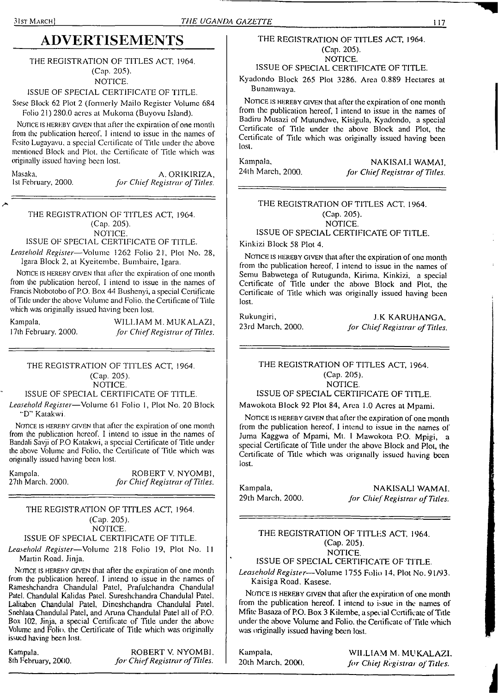# **ADVERTISEMENTS**

THE REGISTRATION OF TITLES ACT. 1964. (Cap. 205). NOTICE.

ISSUE OF SPECIAL CERTIFICATE OF TITLE.

Ssesc Block 62 Plot 2 (formerly Mailo Register Volume 684 Folio 21) 280.0 acres at Mukoma (Buyovu Island).

NOTICE IS HEREBY GIVEN that after the expiration of one month from (he publication hereof. <sup>I</sup> intend to issue in the names of Fesito Lugayavu, a special Certificate of Title under the above mentioned Block and Plot, the Certificate of Tile which was originally issued having been lost.

Masaka, A. ORIKIRIZA, A. ORIKIRIZA, A. ORIKIRIZA, A. ORIKIRIZA, 1st February, 2000. *for ChiefRegistrar of Titles.*

THE REGISTRATION OF TITLES ACT, 1964. (Cap. 205). NOTICE.

ISSUE OF SPECIAL CERTIFICATE OF TITLE.

*Leasehold Register—*Volume 1262 Folio 21, Plot No. 28, Igara Block 2, al Kyeilembe, Bumbaire, Igara.

NOTICE IS HEREBY GIVEN that after the expiration of one month from the publication hereof. I intend to issue in the names of Francis Ntobotobo of P.O. Box 44 Bushenyi, a special Certificate of Title under the above Volume and Folio, the Certificate of Title which was originally issued having been lost.

Kampala. WILLIAM M. MUKALAZI, 17th February. 2000. *for ChiefRegistrar ofTitles.*

#### THE REGISTRATION OF TITLES ACT, 1964. (Cap. 205). NOTICE.

ISSUE OF SPECIAL CERTIFICATE OF TITLE.

*Leasehold Register—*Volume 61 Folio 1, Plot No. 20 Block \*'D" Katakwi.

NOTICE IS HEREBY GIVEN that after the expiration of one month from the publication hereof. I intend to issue in the names of Bandali Savji of P.O Katakwi, a special Certificate of Title under the above Volume and Folio, the Certificate of Title which was originally issued having been lost.

| Kampala.          | ROBERT V. NYOMBI.              |
|-------------------|--------------------------------|
| 27th March. 2000. | for Chief Registrar of Titles. |

#### THE REGISTRATION OF TITLES ACT, 1964. (Cap. 205). NOI1CE.

#### ISSUE OF SPECIAL CERTIFICATE OF TITLE.

*Leasehold Register—*Volume 218 Folio 19, Plot No. <sup>11</sup> Martin Road. Jinja.

NOTICE IS HEREBY GIVEN that after the expiration of one month from the publication hereof. I intend to issue in the names of Rameshchandra Chandulal Patel, Prafulchandra Chandulal Patel. Chandulal Kalidas Patel. Sureshchandra Chandulal Patel. Lalitaben Chandulal Patel, Dineshchandra Chandulal Patel. Snehlata Chandulal Patel, and Aruna Chandulal Patel all of P.O. Box 102, Jinja, a special Certificate of Title under the above Volume and Folio, the Certificate of Title which was originally issued having been lost.

Kampala. ROBERT V. NYOMBI,<br>8th February, 2000. *for Chief Registrar of Titles.* 8th February, 2000. *for ChiefRegistrar ofTitles.*

#### THE REGISTRATION OF TITLES ACT, 1964. (Cap. 205). NOTICE.

ISSUE OF SPECIAL CERTIFICATE OF TITLE.

Kyadondo Block 265 Plot 3286. Area 0.889 Hectares at Bunamwaya.

NOTICE IS HEREBY GIVEN that after the expiration of one month from the publication hereof, <sup>I</sup> intend to issue in the names of Badiru Musazi of Mutundwe, Kisigula, Kyadondo, a special Certificate of Title under the above Block and Plot, the Certificate of Title which was originally issued having been lost.

Kampala, NAKISALIWAMAI, 24th March, 2000. *for ChiefRegistrar ofTiles.*

### THE REGISTRATION OF TITLES ACT. 1964. (Cap. 205). NOTICE.

## ISSUE OF SPECIAL CERTIFICATE OF TITLE.

Kinkizi Block 58 Plot 4.

NOTICE IS HEREBY GIVEN that after the expiration of one month from the publication hereof, I intend to issue in the names of Semu Babwctega of Rutugunda, Kirima, Kinkizi, a special Certificate of Title under the above Block and Plot, the Certificate of Title which was originally issued having been lost.

Rukungiri, J.K KARUHANGA, J.K 2000.<br>23rd March, 2000. *for Chief Registrar of Titles*. 23rd March, 2000. *for ChiefRegistrar ofTitles.*

#### THE REGISTRATION OF TITLES ACT, 1964. (Cap. 205). NOTICE.

ISSUE OF SPECIAL CERTIFICATE OF TITLE.

Mawokota Block 92 Plot 84, Area 1.0 Acres at Mpami.

NOTICE IS HEREBY GIVEN that after the expiration of one month from the publication hereof, I intend to issue in the names of Juma Kaggwa of Mpami, Mt. <sup>1</sup> Mawokota P.O. Mpigi, a special Certificate of Title under the above Block and Plot, the Certificate of Title which was originally issued having been lost.

Kampala, **NAKISALI WAMAI.**<br>29th March. 2000. *For Chief Registrar of Titles* 29th March, 2000. *for ChiefRegistrar ofTitles.*

#### THE REGISTRATION OF TITLES ACT, 1964. (Cap. 205). NOTICE.

ISSUE OF SPECIAL CERTIFICATE OF TITLE.

*Leasehold Register*—Volume 1755 Folio 14, Plot No. 91/93. Kaisiga Road. Kasese.

NOTICE IS HEREBY GIVEN that after the expiration of one month from the publication hereof. I intend to issue in the names of Mfite Basaza of P.O. Box 3 Kilembe, a special Certificate of Title under the above Volume and Folio, the Certificate of Title which was originally issued having been lost.

Kampala, WILLIAM M. MUKALAZI. 20th March, 2000. *for ChieJ Registrar ofTitles.*